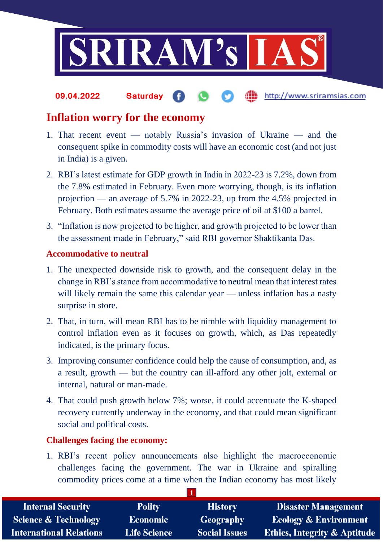

the http://www.sriramsias.com **09.04.2022 Saturday**

## **Inflation worry for the economy**

- 1. That recent event notably Russia's invasion of Ukraine and the consequent spike in commodity costs will have an economic cost (and not just in India) is a given.
- 2. RBI's latest estimate for GDP growth in India in 2022-23 is 7.2%, down from the 7.8% estimated in February. Even more worrying, though, is its inflation projection — an average of 5.7% in 2022-23, up from the 4.5% projected in February. Both estimates assume the average price of oil at \$100 a barrel.
- 3. "Inflation is now projected to be higher, and growth projected to be lower than the assessment made in February," said RBI governor Shaktikanta Das.

## **Accommodative to neutral**

- 1. The unexpected downside risk to growth, and the consequent delay in the change in RBI's stance from accommodative to neutral mean that interest rates will likely remain the same this calendar year — unless inflation has a nasty surprise in store.
- 2. That, in turn, will mean RBI has to be nimble with liquidity management to control inflation even as it focuses on growth, which, as Das repeatedly indicated, is the primary focus.
- 3. Improving consumer confidence could help the cause of consumption, and, as a result, growth — but the country can ill-afford any other jolt, external or internal, natural or man-made.
- 4. That could push growth below 7%; worse, it could accentuate the K-shaped recovery currently underway in the economy, and that could mean significant social and political costs.

## **Challenges facing the economy:**

1. RBI's recent policy announcements also highlight the macroeconomic challenges facing the government. The war in Ukraine and spiralling commodity prices come at a time when the Indian economy has most likely

| <b>Internal Security</b>        | <b>Polity</b>       | <b>History</b>       | <b>Disaster Management</b>              |
|---------------------------------|---------------------|----------------------|-----------------------------------------|
| <b>Science &amp; Technology</b> | <b>Economic</b>     | <b>Geography</b>     | <b>Ecology &amp; Environment</b>        |
| <b>International Relations</b>  | <b>Life Science</b> | <b>Social Issues</b> | <b>Ethics, Integrity &amp; Aptitude</b> |